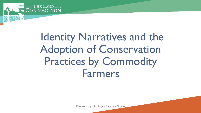

# Identity Narratives and the Adoption of Conservation Practices by Commodity Farmers

Preliminary Findings - Do not Share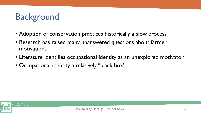# **Background**

- Adoption of conservation practices historically a slow process
- Research has raised many unanswered questions about farmer motivations
- Literature identifies occupational identity as an unexplored motivator
- Occupational identity a relatively "black box"

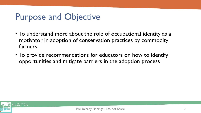### Purpose and Objective

- To understand more about the role of occupational identity as a motivator in adoption of conservation practices by commodity farmers
- To provide recommendations for educators on how to identify opportunities and mitigate barriers in the adoption process

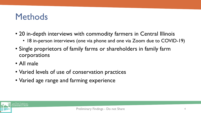#### **Methods**

- 20 in-depth interviews with commodity farmers in Central Illinois
	- 18 in-person interviews (one via phone and one via Zoom due to COVID-19)
- Single proprietors of family farms or shareholders in family farm corporations
- All male
- Varied levels of use of conservation practices
- Varied age range and farming experience

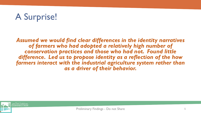# A Surprise!

*Assumed we would find clear differences in the identity narratives of farmers who had adopted a relatively high number of conservation practices and those who had not. Found little difference. Led us to propose identity as a reflection of the how*  farmers interact with the industrial agriculture system rather than *as a driver of their behavior.*

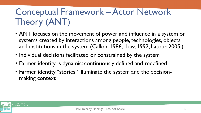# Conceptual Framework – Actor Network Theory (ANT)

- ANT focuses on the movement of power and influence in a system or systems created by interactions among people, technologies, objects and institutions in the system (Callon, 1986; Law, 1992; Latour, 2005;)
- Individual decisions facilitated or constrained by the system
- Farmer identity is dynamic: continuously defined and redefined
- Farmer identity "stories" illuminate the system and the decisionmaking context

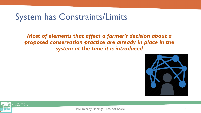#### System has Constraints/Limits

#### *Most of elements that affect a farmer's decision about a proposed conservation practice are already in place in the system at the time it is introduced*





Preliminary Findings - Do not Share 7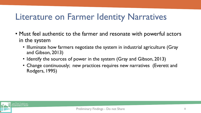#### Literature on Farmer Identity Narratives

- Must feel authentic to the farmer and resonate with powerful actors in the system
	- Illuminate how farmers negotiate the system in industrial agriculture (Gray and Gibson, 2013)
	- Identify the sources of power in the system (Gray and Gibson, 2013)
	- Change continuously; new practices requires new narratives (Everett and Rodgers, 1995)

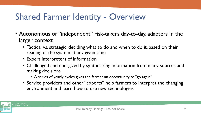# Shared Farmer Identity - Overview

- Autonomous or "independent" risk-takers day-to-day, adapters in the larger context
	- Tactical vs. strategic: deciding what to do and when to do it, based on their reading of the system at any given time
	- Expert interpreters of information
	- Challenged and energized by synthesizing information from many sources and making decisions
		- A series of yearly cycles gives the farmer an opportunity to "go again"
	- Service providers and other "experts" help farmers to interpret the changing environment and learn how to use new technologies

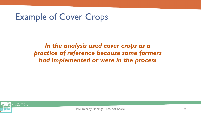### Example of Cover Crops

*In the analysis used cover crops as a practice of reference because some farmers had implemented or were in the process*

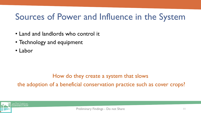# Sources of Power and Influence in the System

- Land and landlords who control it
- Technology and equipment
- Labor

#### How do they create a system that slows the adoption of a beneficial conservation practice such as cover crops?

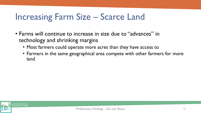### Increasing Farm Size – Scarce Land

- Farms will continue to increase in size due to "advances" in technology and shrinking margins
	- Most farmers could operate more acres than they have access to
	- Farmers in the same geographical area compete with other farmers for more land

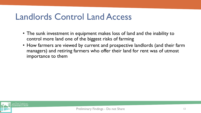### Landlords Control Land Access

- The sunk investment in equipment makes loss of land and the inability to control more land one of the biggest risks of farming
- How farmers are viewed by current and prospective landlords (and their farm managers) and retiring farmers who offer their land for rent was of utmost importance to them

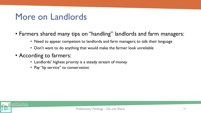#### More on Landlords

- Farmers shared many tips on "handling" landlords and farm managers:
	- Need to appear competent to landlords and farm managers; to talk their language
	- Don't want to do anything that would make the farmer look unreliable
- According to farmers:
	- Landlords' highest priority is a steady stream of money
	- Pay "lip service" to conservation

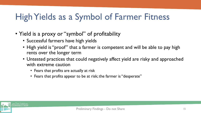# High Yields as a Symbol of Farmer Fitness

- Yield is a proxy or "symbol" of profitability
	- Successful farmers have high yields
	- High yield is "proof" that a farmer is competent and will be able to pay high rents over the longer term
	- Untested practices that could negatively affect yield are risky and approached with extreme caution
		- Fears that profits are actually at risk
		- Fears that profits appear to be at risk; the farmer is "desperate"

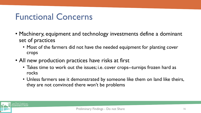#### Functional Concerns

- Machinery, equipment and technology investments define a dominant set of practices
	- Most of the farmers did not have the needed equipment for planting cover crops
- All new production practices have risks at first
	- Takes time to work out the issues; i.e. cover crops--turnips frozen hard as rocks
	- Unless farmers see it demonstrated by someone like them on land like theirs, they are not convinced there won't be problems

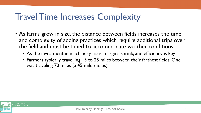## Travel Time Increases Complexity

- As farms grow in size, the distance between fields increases the time and complexity of adding practices which require additional trips over the field and must be timed to accommodate weather conditions
	- As the investment in machinery rises, margins shrink, and efficiency is key
	- Farmers typically travelling 15 to 25 miles between their farthest fields. One was traveling 70 miles (a 45 mile radius)

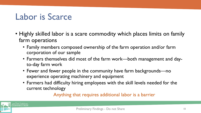#### Labor is Scarce

- Highly skilled labor is a scare commodity which places limits on family farm operations
	- Family members composed ownership of the farm operation and/or farm corporation of our sample
	- Farmers themselves did most of the farm work—both management and dayto-day farm work
	- Fewer and fewer people in the community have farm backgrounds—no experience operating machinery and equipment
	- Farmers had difficulty hiring employees with the skill levels needed for the current technology

Anything that requires additional labor is a barrier

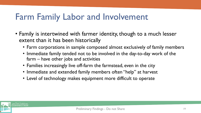#### Farm Family Labor and Involvement

- Family is intertwined with farmer identity, though to a much lesser extent than it has been historically
	- Farm corporations in sample composed almost exclusively of family members
	- Immediate family tended not to be involved in the day-to-day work of the farm – have other jobs and activities
	- Families increasingly live off-farm the farmstead, even in the city
	- Immediate and extended family members often "help" at harvest
	- Level of technology makes equipment more difficult to operate

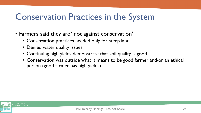## Conservation Practices in the System

- Farmers said they are "not against conservation"
	- Conservation practices needed only for steep land
	- Denied water quality issues
	- Continuing high yields demonstrate that soil quality is good
	- Conservation was outside what it means to be good farmer and/or an ethical person (good farmer has high yields)

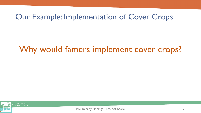#### Our Example: Implementation of Cover Crops

### Why would famers implement cover crops?

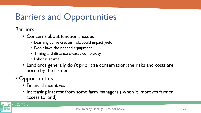# Barriers and Opportunities

Barriers

- Concerns about functional issues
	- Learning curve creates risk; could impact yield
	- Don't have the needed equipment
	- Timing and distance creates complexity
	- Labor is scarce
- Landlords generally don't prioritize conservation; the risks and costs are borne by the farmer

#### • Opportunities:

- Financial incentives
- Increasing interest from some farm managers (when it improves farmer access to land)

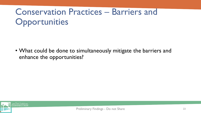# Conservation Practices – Barriers and **Opportunities**

• What could be done to simultaneously mitigate the barriers and enhance the opportunities?

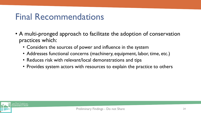#### Final Recommendations

- A multi-pronged approach to facilitate the adoption of conservation practices which:
	- Considers the sources of power and influence in the system
	- Addresses functional concerns (machinery, equipment, labor, time, etc.)
	- Reduces risk with relevant/local demonstrations and tips
	- Provides system actors with resources to explain the practice to others